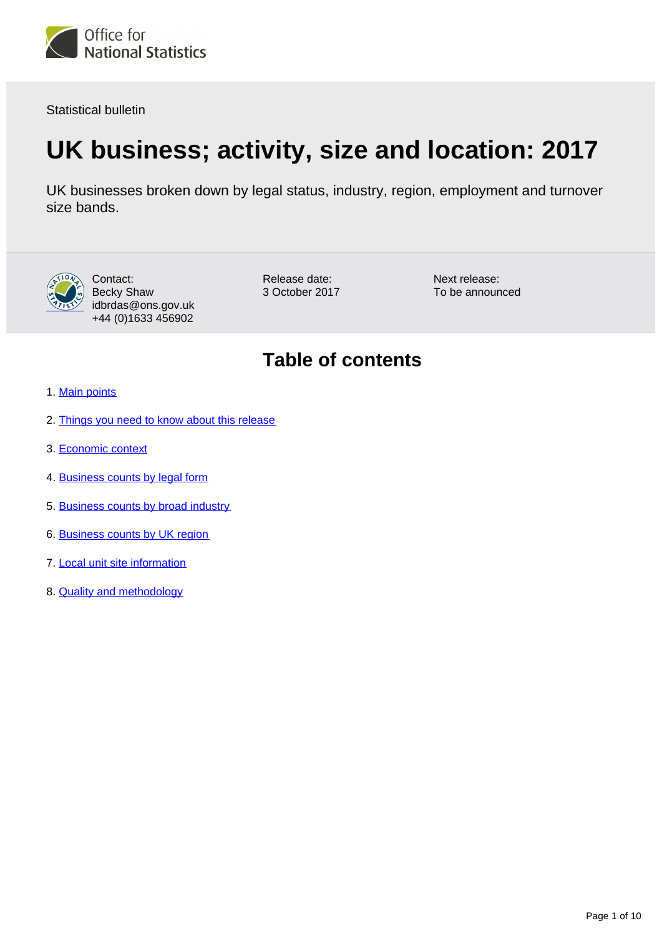

Statistical bulletin

# **UK business; activity, size and location: 2017**

UK businesses broken down by legal status, industry, region, employment and turnover size bands.



Contact: Becky Shaw idbrdas@ons.gov.uk +44 (0)1633 456902

Release date: 3 October 2017 Next release: To be announced

### **Table of contents**

- 1. [Main points](#page-1-0)
- 2. [Things you need to know about this release](#page-1-1)
- 3. [Economic context](#page-1-2)
- 4. [Business counts by legal form](#page-3-0)
- 5. [Business counts by broad industry](#page-4-0)
- 6. [Business counts by UK region](#page-6-0)
- 7. [Local unit site information](#page-8-0)
- 8. [Quality and methodology](#page-9-0)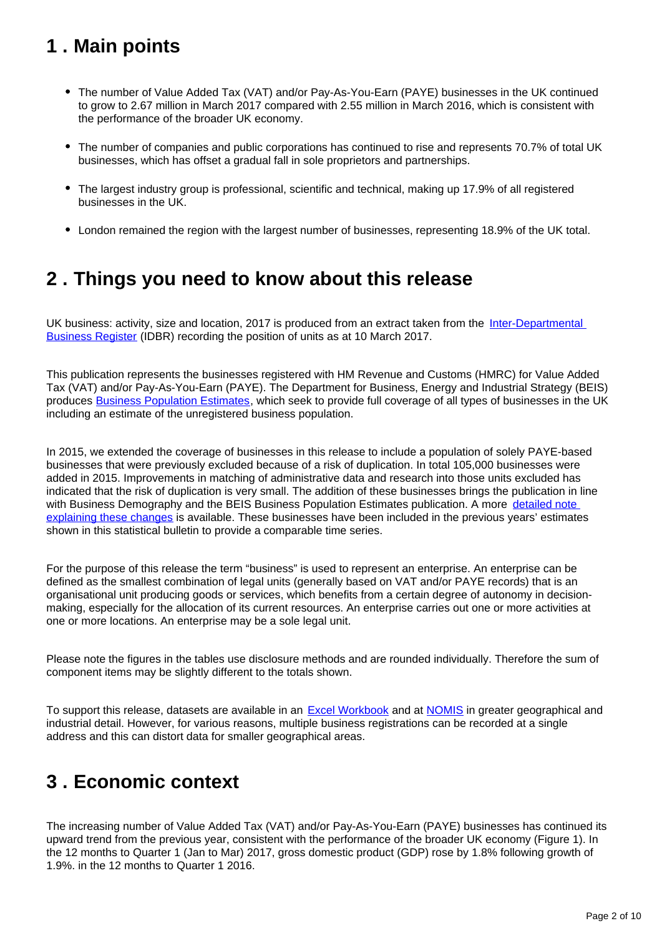### <span id="page-1-0"></span>**1 . Main points**

- The number of Value Added Tax (VAT) and/or Pay-As-You-Earn (PAYE) businesses in the UK continued to grow to 2.67 million in March 2017 compared with 2.55 million in March 2016, which is consistent with the performance of the broader UK economy.
- The number of companies and public corporations has continued to rise and represents 70.7% of total UK businesses, which has offset a gradual fall in sole proprietors and partnerships.
- The largest industry group is professional, scientific and technical, making up 17.9% of all registered businesses in the UK.
- London remained the region with the largest number of businesses, representing 18.9% of the UK total.

### <span id="page-1-1"></span>**2 . Things you need to know about this release**

UK business: activity, size and location, 2017 is produced from an extract taken from the Inter-Departmental [Business Register](http://www.ons.gov.uk/aboutus/whatwedo/paidservices/interdepartmentalbusinessregisteridbr) (IDBR) recording the position of units as at 10 March 2017.

This publication represents the businesses registered with HM Revenue and Customs (HMRC) for Value Added Tax (VAT) and/or Pay-As-You-Earn (PAYE). The Department for Business, Energy and Industrial Strategy (BEIS) produces [Business Population Estimates](https://www.gov.uk/government/collections/business-population-estimates), which seek to provide full coverage of all types of businesses in the UK including an estimate of the unregistered business population.

In 2015, we extended the coverage of businesses in this release to include a population of solely PAYE-based businesses that were previously excluded because of a risk of duplication. In total 105,000 businesses were added in 2015. Improvements in matching of administrative data and research into those units excluded has indicated that the risk of duplication is very small. The addition of these businesses brings the publication in line with Business Demography and the BEIS Business Population Estimates publication. A more detailed note [explaining these changes](http://webarchive.nationalarchives.gov.uk/20160105160709/http:/www.ons.gov.uk/ons/guide-method/method-quality/specific/business-and-energy/uk-business--activity--size-and-location/index.html) is available. These businesses have been included in the previous years' estimates shown in this statistical bulletin to provide a comparable time series.

For the purpose of this release the term "business" is used to represent an enterprise. An enterprise can be defined as the smallest combination of legal units (generally based on VAT and/or PAYE records) that is an organisational unit producing goods or services, which benefits from a certain degree of autonomy in decisionmaking, especially for the allocation of its current resources. An enterprise carries out one or more activities at one or more locations. An enterprise may be a sole legal unit.

Please note the figures in the tables use disclosure methods and are rounded individually. Therefore the sum of component items may be slightly different to the totals shown.

To support this release, datasets are available in an **Excel Workbook** and at **NOMIS** in greater geographical and industrial detail. However, for various reasons, multiple business registrations can be recorded at a single address and this can distort data for smaller geographical areas.

# <span id="page-1-2"></span>**3 . Economic context**

The increasing number of Value Added Tax (VAT) and/or Pay-As-You-Earn (PAYE) businesses has continued its upward trend from the previous year, consistent with the performance of the broader UK economy (Figure 1). In the 12 months to Quarter 1 (Jan to Mar) 2017, gross domestic product (GDP) rose by 1.8% following growth of 1.9%. in the 12 months to Quarter 1 2016.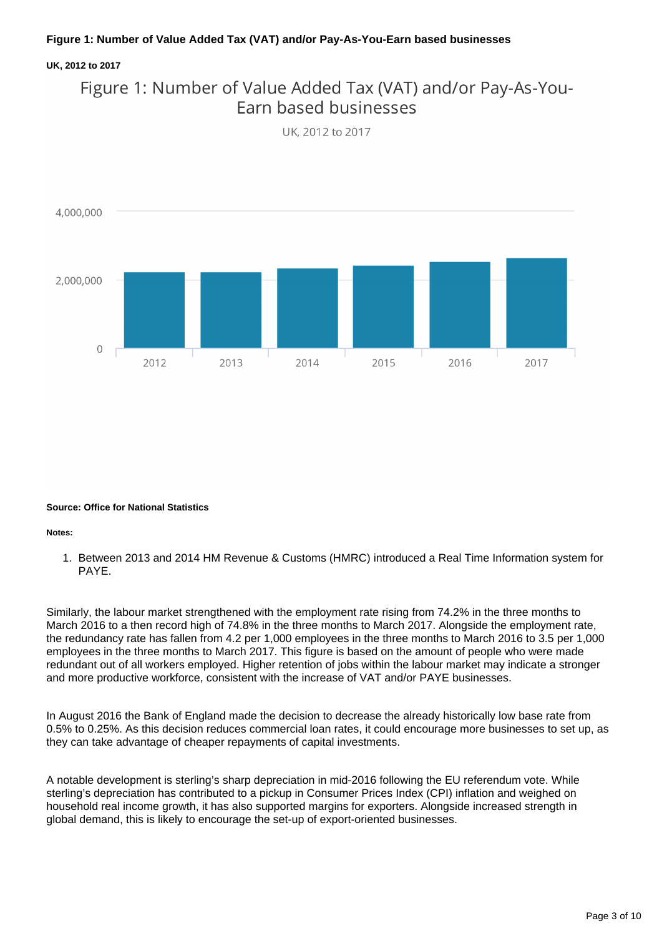### **Figure 1: Number of Value Added Tax (VAT) and/or Pay-As-You-Earn based businesses**

#### **UK, 2012 to 2017**



UK. 2012 to 2017



#### **Source: Office for National Statistics**

#### **Notes:**

1. Between 2013 and 2014 HM Revenue & Customs (HMRC) introduced a Real Time Information system for PAYE.

Similarly, the labour market strengthened with the employment rate rising from 74.2% in the three months to March 2016 to a then record high of 74.8% in the three months to March 2017. Alongside the employment rate, the redundancy rate has fallen from 4.2 per 1,000 employees in the three months to March 2016 to 3.5 per 1,000 employees in the three months to March 2017. This figure is based on the amount of people who were made redundant out of all workers employed. Higher retention of jobs within the labour market may indicate a stronger and more productive workforce, consistent with the increase of VAT and/or PAYE businesses.

In August 2016 the Bank of England made the decision to decrease the already historically low base rate from 0.5% to 0.25%. As this decision reduces commercial loan rates, it could encourage more businesses to set up, as they can take advantage of cheaper repayments of capital investments.

A notable development is sterling's sharp depreciation in mid-2016 following the EU referendum vote. While sterling's depreciation has contributed to a pickup in Consumer Prices Index (CPI) inflation and weighed on household real income growth, it has also supported margins for exporters. Alongside increased strength in global demand, this is likely to encourage the set-up of export-oriented businesses.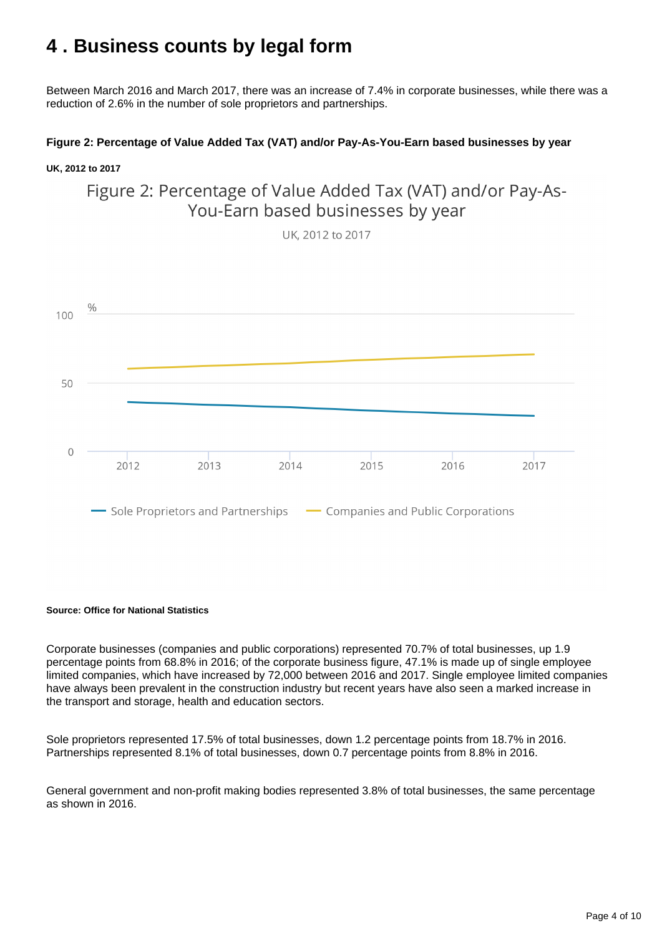# <span id="page-3-0"></span>**4 . Business counts by legal form**

Between March 2016 and March 2017, there was an increase of 7.4% in corporate businesses, while there was a reduction of 2.6% in the number of sole proprietors and partnerships.

### **Figure 2: Percentage of Value Added Tax (VAT) and/or Pay-As-You-Earn based businesses by year**

#### **UK, 2012 to 2017**

Figure 2: Percentage of Value Added Tax (VAT) and/or Pay-As-You-Earn based businesses by year

UK, 2012 to 2017



#### **Source: Office for National Statistics**

Corporate businesses (companies and public corporations) represented 70.7% of total businesses, up 1.9 percentage points from 68.8% in 2016; of the corporate business figure, 47.1% is made up of single employee limited companies, which have increased by 72,000 between 2016 and 2017. Single employee limited companies have always been prevalent in the construction industry but recent years have also seen a marked increase in the transport and storage, health and education sectors.

Sole proprietors represented 17.5% of total businesses, down 1.2 percentage points from 18.7% in 2016. Partnerships represented 8.1% of total businesses, down 0.7 percentage points from 8.8% in 2016.

General government and non-profit making bodies represented 3.8% of total businesses, the same percentage as shown in 2016.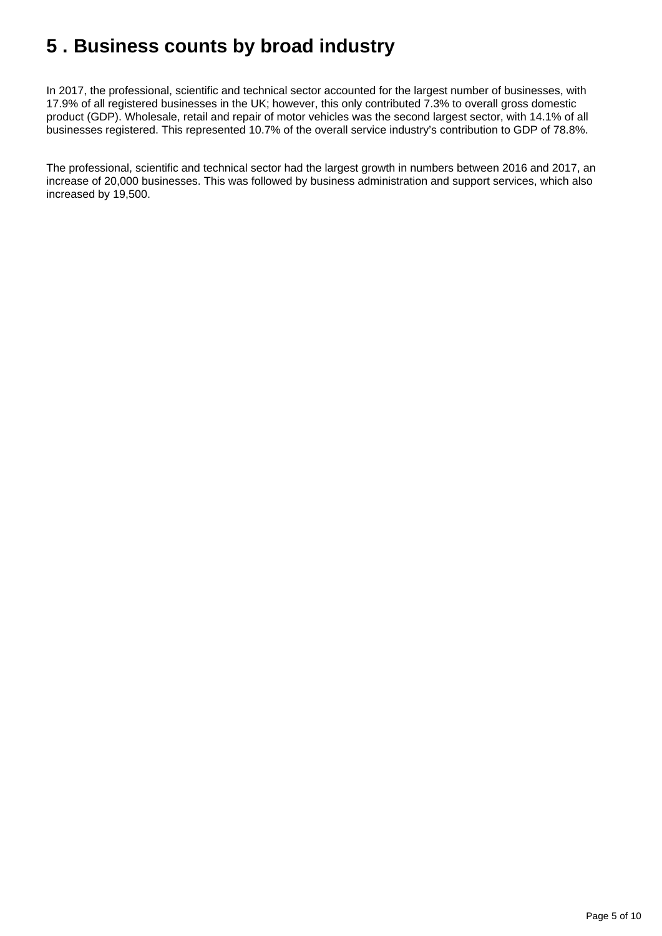# <span id="page-4-0"></span>**5 . Business counts by broad industry**

In 2017, the professional, scientific and technical sector accounted for the largest number of businesses, with 17.9% of all registered businesses in the UK; however, this only contributed 7.3% to overall gross domestic product (GDP). Wholesale, retail and repair of motor vehicles was the second largest sector, with 14.1% of all businesses registered. This represented 10.7% of the overall service industry's contribution to GDP of 78.8%.

The professional, scientific and technical sector had the largest growth in numbers between 2016 and 2017, an increase of 20,000 businesses. This was followed by business administration and support services, which also increased by 19,500.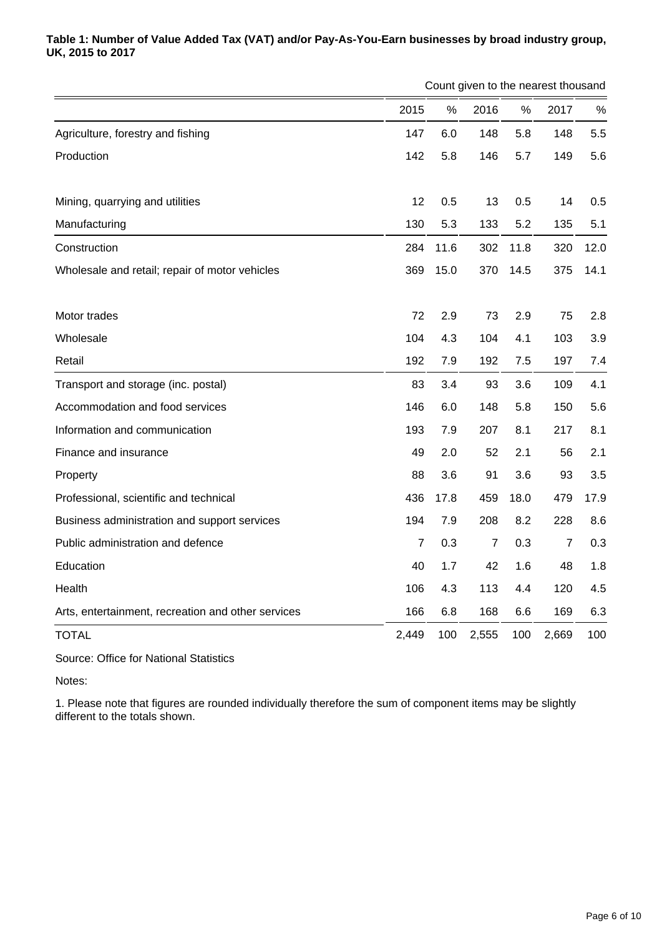### **Table 1: Number of Value Added Tax (VAT) and/or Pay-As-You-Earn businesses by broad industry group, UK, 2015 to 2017**

|                                                    |                | Count given to the nearest thousand |                |      |                |      |  |
|----------------------------------------------------|----------------|-------------------------------------|----------------|------|----------------|------|--|
|                                                    | 2015           | %                                   | 2016           | %    | 2017           | %    |  |
| Agriculture, forestry and fishing                  | 147            | 6.0                                 | 148            | 5.8  | 148            | 5.5  |  |
| Production                                         | 142            | 5.8                                 | 146            | 5.7  | 149            | 5.6  |  |
| Mining, quarrying and utilities                    | 12             | 0.5                                 | 13             | 0.5  | 14             | 0.5  |  |
| Manufacturing                                      | 130            | 5.3                                 | 133            | 5.2  | 135            | 5.1  |  |
| Construction                                       | 284            | 11.6                                | 302            | 11.8 | 320            | 12.0 |  |
| Wholesale and retail; repair of motor vehicles     | 369            | 15.0                                | 370            | 14.5 | 375            | 14.1 |  |
| Motor trades                                       | 72             | 2.9                                 | 73             | 2.9  | 75             | 2.8  |  |
| Wholesale                                          | 104            | 4.3                                 | 104            | 4.1  | 103            | 3.9  |  |
| Retail                                             | 192            | 7.9                                 | 192            | 7.5  | 197            | 7.4  |  |
| Transport and storage (inc. postal)                | 83             | 3.4                                 | 93             | 3.6  | 109            | 4.1  |  |
| Accommodation and food services                    | 146            | 6.0                                 | 148            | 5.8  | 150            | 5.6  |  |
| Information and communication                      | 193            | 7.9                                 | 207            | 8.1  | 217            | 8.1  |  |
| Finance and insurance                              | 49             | 2.0                                 | 52             | 2.1  | 56             | 2.1  |  |
| Property                                           | 88             | 3.6                                 | 91             | 3.6  | 93             | 3.5  |  |
| Professional, scientific and technical             | 436            | 17.8                                | 459            | 18.0 | 479            | 17.9 |  |
| Business administration and support services       | 194            | 7.9                                 | 208            | 8.2  | 228            | 8.6  |  |
| Public administration and defence                  | $\overline{7}$ | 0.3                                 | $\overline{7}$ | 0.3  | $\overline{7}$ | 0.3  |  |
| Education                                          | 40             | 1.7                                 | 42             | 1.6  | 48             | 1.8  |  |
| Health                                             | 106            | 4.3                                 | 113            | 4.4  | 120            | 4.5  |  |
| Arts, entertainment, recreation and other services | 166            | 6.8                                 | 168            | 6.6  | 169            | 6.3  |  |
| <b>TOTAL</b>                                       | 2,449          | 100                                 | 2,555          | 100  | 2,669          | 100  |  |

Source: Office for National Statistics

Notes:

1. Please note that figures are rounded individually therefore the sum of component items may be slightly different to the totals shown.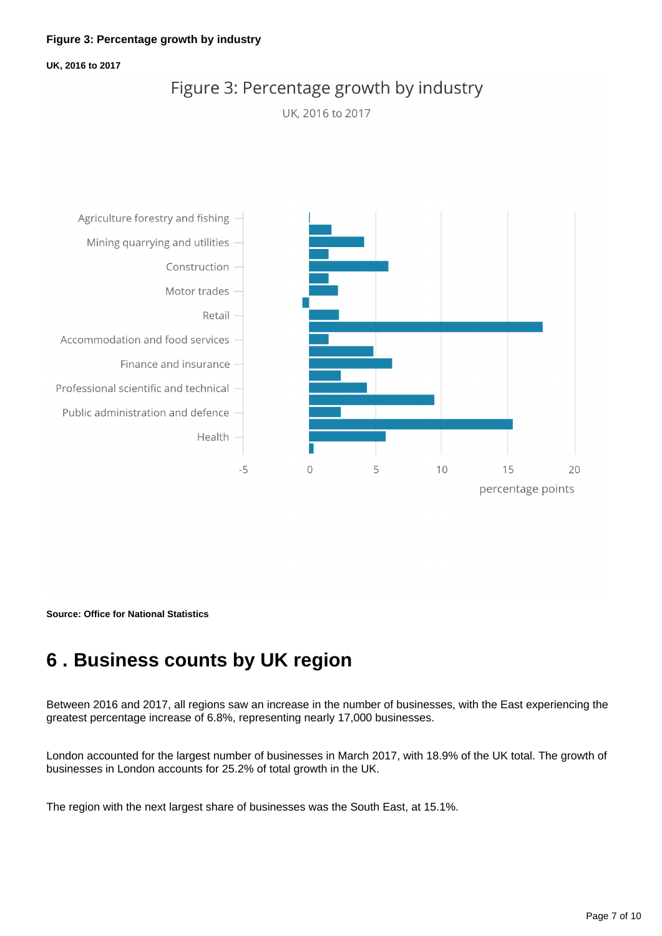#### **UK, 2016 to 2017**

### Figure 3: Percentage growth by industry

UK, 2016 to 2017



**Source: Office for National Statistics**

# <span id="page-6-0"></span>**6 . Business counts by UK region**

Between 2016 and 2017, all regions saw an increase in the number of businesses, with the East experiencing the greatest percentage increase of 6.8%, representing nearly 17,000 businesses.

London accounted for the largest number of businesses in March 2017, with 18.9% of the UK total. The growth of businesses in London accounts for 25.2% of total growth in the UK.

The region with the next largest share of businesses was the South East, at 15.1%.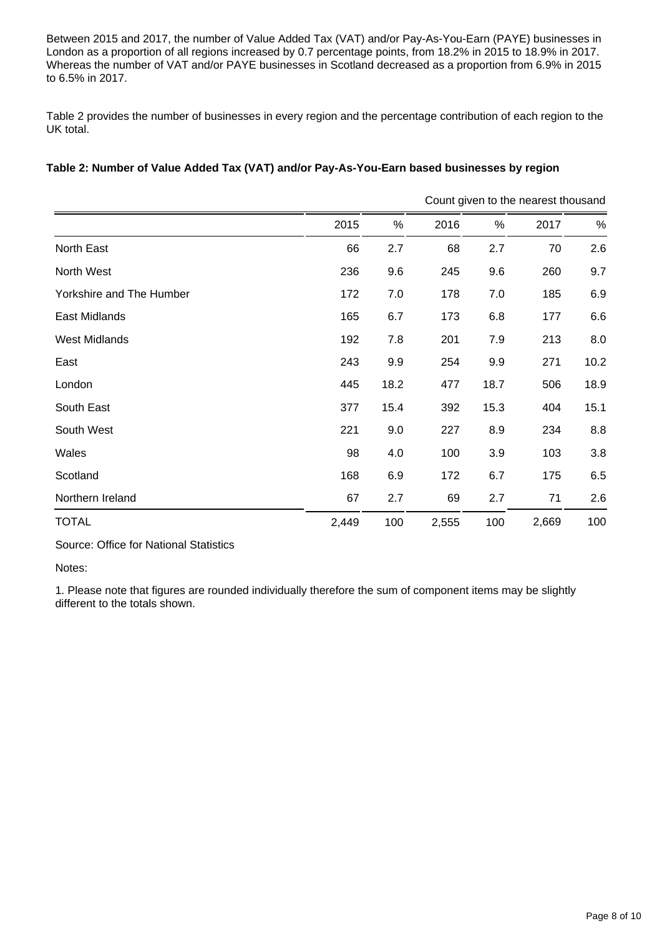Between 2015 and 2017, the number of Value Added Tax (VAT) and/or Pay-As-You-Earn (PAYE) businesses in London as a proportion of all regions increased by 0.7 percentage points, from 18.2% in 2015 to 18.9% in 2017. Whereas the number of VAT and/or PAYE businesses in Scotland decreased as a proportion from 6.9% in 2015 to 6.5% in 2017.

Table 2 provides the number of businesses in every region and the percentage contribution of each region to the UK total.

### **Table 2: Number of Value Added Tax (VAT) and/or Pay-As-You-Earn based businesses by region**

|                          |       |      | Count given to the nearest thousand |      |       |      |  |  |
|--------------------------|-------|------|-------------------------------------|------|-------|------|--|--|
|                          | 2015  | %    | 2016                                | %    | 2017  | %    |  |  |
| North East               | 66    | 2.7  | 68                                  | 2.7  | 70    | 2.6  |  |  |
| North West               | 236   | 9.6  | 245                                 | 9.6  | 260   | 9.7  |  |  |
| Yorkshire and The Humber | 172   | 7.0  | 178                                 | 7.0  | 185   | 6.9  |  |  |
| East Midlands            | 165   | 6.7  | 173                                 | 6.8  | 177   | 6.6  |  |  |
| <b>West Midlands</b>     | 192   | 7.8  | 201                                 | 7.9  | 213   | 8.0  |  |  |
| East                     | 243   | 9.9  | 254                                 | 9.9  | 271   | 10.2 |  |  |
| London                   | 445   | 18.2 | 477                                 | 18.7 | 506   | 18.9 |  |  |
| South East               | 377   | 15.4 | 392                                 | 15.3 | 404   | 15.1 |  |  |
| South West               | 221   | 9.0  | 227                                 | 8.9  | 234   | 8.8  |  |  |
| Wales                    | 98    | 4.0  | 100                                 | 3.9  | 103   | 3.8  |  |  |
| Scotland                 | 168   | 6.9  | 172                                 | 6.7  | 175   | 6.5  |  |  |
| Northern Ireland         | 67    | 2.7  | 69                                  | 2.7  | 71    | 2.6  |  |  |
| <b>TOTAL</b>             | 2,449 | 100  | 2,555                               | 100  | 2,669 | 100  |  |  |

Source: Office for National Statistics

Notes:

1. Please note that figures are rounded individually therefore the sum of component items may be slightly different to the totals shown.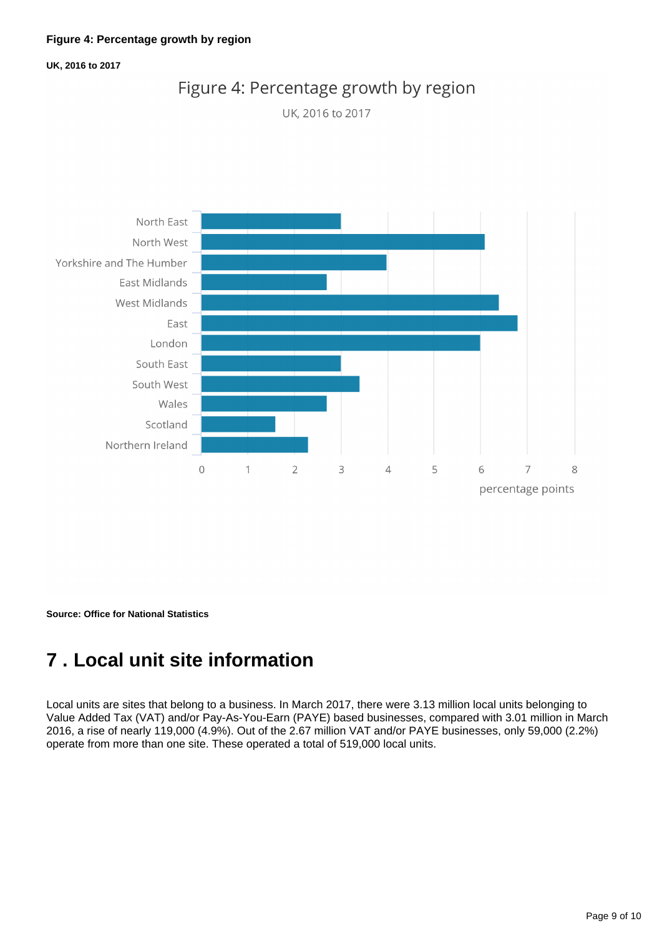#### **UK, 2016 to 2017**







**Source: Office for National Statistics**

# <span id="page-8-0"></span>**7 . Local unit site information**

Local units are sites that belong to a business. In March 2017, there were 3.13 million local units belonging to Value Added Tax (VAT) and/or Pay-As-You-Earn (PAYE) based businesses, compared with 3.01 million in March 2016, a rise of nearly 119,000 (4.9%). Out of the 2.67 million VAT and/or PAYE businesses, only 59,000 (2.2%) operate from more than one site. These operated a total of 519,000 local units.